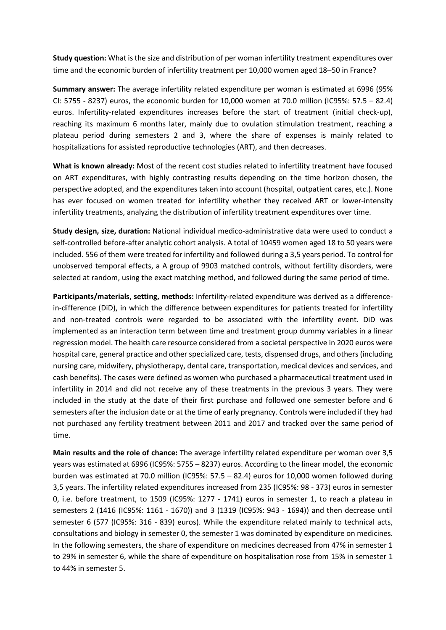Study question: What is the size and distribution of per woman infertility treatment expenditures over time and the economic burden of infertility treatment per 10,000 women aged 18-50 in France?

Summary answer: The average infertility related expenditure per woman is estimated at 6996 (95% CI: 5755 - 8237) euros, the economic burden for 10,000 women at 70.0 million (IC95%: 57.5 – 82.4) euros. Infertility-related expenditures increases before the start of treatment (initial check-up), reaching its maximum 6 months later, mainly due to ovulation stimulation treatment, reaching a plateau period during semesters 2 and 3, where the share of expenses is mainly related to hospitalizations for assisted reproductive technologies (ART), and then decreases.

What is known already: Most of the recent cost studies related to infertility treatment have focused on ART expenditures, with highly contrasting results depending on the time horizon chosen, the perspective adopted, and the expenditures taken into account (hospital, outpatient cares, etc.). None has ever focused on women treated for infertility whether they received ART or lower-intensity infertility treatments, analyzing the distribution of infertility treatment expenditures over time.

Study design, size, duration: National individual medico-administrative data were used to conduct a self-controlled before-after analytic cohort analysis. A total of 10459 women aged 18 to 50 years were included. 556 of them were treated for infertility and followed during a 3,5 years period. To control for unobserved temporal effects, a A group of 9903 matched controls, without fertility disorders, were selected at random, using the exact matching method, and followed during the same period of time.

Participants/materials, setting, methods: Infertility-related expenditure was derived as a differencein-difference (DiD), in which the difference between expenditures for patients treated for infertility and non-treated controls were regarded to be associated with the infertility event. DiD was implemented as an interaction term between time and treatment group dummy variables in a linear regression model. The health care resource considered from a societal perspective in 2020 euros were hospital care, general practice and other specialized care, tests, dispensed drugs, and others (including nursing care, midwifery, physiotherapy, dental care, transportation, medical devices and services, and cash benefits). The cases were defined as women who purchased a pharmaceutical treatment used in infertility in 2014 and did not receive any of these treatments in the previous 3 years. They were included in the study at the date of their first purchase and followed one semester before and 6 semesters after the inclusion date or at the time of early pregnancy. Controls were included if they had not purchased any fertility treatment between 2011 and 2017 and tracked over the same period of time.

Main results and the role of chance: The average infertility related expenditure per woman over 3,5 years was estimated at 6996 (IC95%: 5755 – 8237) euros. According to the linear model, the economic burden was estimated at 70.0 million (IC95%: 57.5 – 82.4) euros for 10,000 women followed during 3,5 years. The infertility related expenditures increased from 235 (IC95%: 98 - 373) euros in semester 0, i.e. before treatment, to 1509 (IC95%: 1277 - 1741) euros in semester 1, to reach a plateau in semesters 2 (1416 (IC95%: 1161 - 1670)) and 3 (1319 (IC95%: 943 - 1694)) and then decrease until semester 6 (577 (IC95%: 316 - 839) euros). While the expenditure related mainly to technical acts, consultations and biology in semester 0, the semester 1 was dominated by expenditure on medicines. In the following semesters, the share of expenditure on medicines decreased from 47% in semester 1 to 29% in semester 6, while the share of expenditure on hospitalisation rose from 15% in semester 1 to 44% in semester 5.